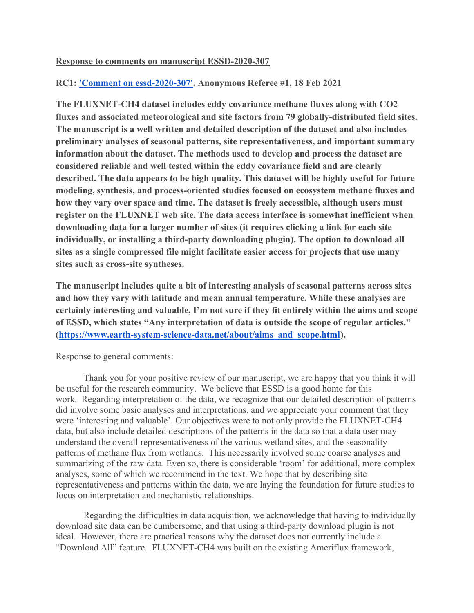#### Response to comments on manuscript ESSD-2020-307

#### RC1: 'Comment on essd-2020-307', Anonymous Referee #1, 18 Feb 2021

The FLUXNET-CH4 dataset includes eddy covariance methane fluxes along with CO2 fluxes and associated meteorological and site factors from 79 globally-distributed field sites. The manuscript is a well written and detailed description of the dataset and also includes preliminary analyses of seasonal patterns, site representativeness, and important summary information about the dataset. The methods used to develop and process the dataset are considered reliable and well tested within the eddy covariance field and are clearly described. The data appears to be high quality. This dataset will be highly useful for future modeling, synthesis, and process-oriented studies focused on ecosystem methane fluxes and how they vary over space and time. The dataset is freely accessible, although users must register on the FLUXNET web site. The data access interface is somewhat inefficient when downloading data for a larger number of sites (it requires clicking a link for each site individually, or installing a third-party downloading plugin). The option to download all sites as a single compressed file might facilitate easier access for projects that use many sites such as cross-site syntheses.

The manuscript includes quite a bit of interesting analysis of seasonal patterns across sites and how they vary with latitude and mean annual temperature. While these analyses are certainly interesting and valuable, I'm not sure if they fit entirely within the aims and scope of ESSD, which states "Any interpretation of data is outside the scope of regular articles." (https://www.earth-system-science-data.net/about/aims\_and\_scope.html).

Response to general comments:

Thank you for your positive review of our manuscript, we are happy that you think it will be useful for the research community. We believe that ESSD is a good home for this work. Regarding interpretation of the data, we recognize that our detailed description of patterns did involve some basic analyses and interpretations, and we appreciate your comment that they were 'interesting and valuable'. Our objectives were to not only provide the FLUXNET-CH4 data, but also include detailed descriptions of the patterns in the data so that a data user may understand the overall representativeness of the various wetland sites, and the seasonality patterns of methane flux from wetlands. This necessarily involved some coarse analyses and summarizing of the raw data. Even so, there is considerable 'room' for additional, more complex analyses, some of which we recommend in the text. We hope that by describing site representativeness and patterns within the data, we are laying the foundation for future studies to focus on interpretation and mechanistic relationships.

Regarding the difficulties in data acquisition, we acknowledge that having to individually download site data can be cumbersome, and that using a third-party download plugin is not ideal. However, there are practical reasons why the dataset does not currently include a "Download All" feature. FLUXNET-CH4 was built on the existing Ameriflux framework,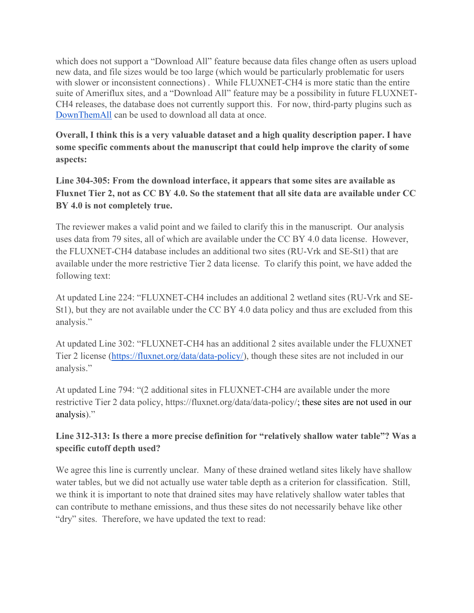which does not support a "Download All" feature because data files change often as users upload new data, and file sizes would be too large (which would be particularly problematic for users with slower or inconsistent connections) . While FLUXNET-CH4 is more static than the entire suite of Ameriflux sites, and a "Download All" feature may be a possibility in future FLUXNET-CH4 releases, the database does not currently support this. For now, third-party plugins such as DownThemAll can be used to download all data at once.

Overall, I think this is a very valuable dataset and a high quality description paper. I have some specific comments about the manuscript that could help improve the clarity of some aspects:

Line 304-305: From the download interface, it appears that some sites are available as Fluxnet Tier 2, not as CC BY 4.0. So the statement that all site data are available under CC BY 4.0 is not completely true.

The reviewer makes a valid point and we failed to clarify this in the manuscript. Our analysis uses data from 79 sites, all of which are available under the CC BY 4.0 data license. However, the FLUXNET-CH4 database includes an additional two sites (RU-Vrk and SE-St1) that are available under the more restrictive Tier 2 data license. To clarify this point, we have added the following text:

At updated Line 224: "FLUXNET-CH4 includes an additional 2 wetland sites (RU-Vrk and SE-St1), but they are not available under the CC BY 4.0 data policy and thus are excluded from this analysis."

At updated Line 302: "FLUXNET-CH4 has an additional 2 sites available under the FLUXNET Tier 2 license (https://fluxnet.org/data/data-policy/), though these sites are not included in our analysis."

At updated Line 794: "(2 additional sites in FLUXNET-CH4 are available under the more restrictive Tier 2 data policy, https://fluxnet.org/data/data-policy/; these sites are not used in our analysis)."

# Line 312-313: Is there a more precise definition for "relatively shallow water table"? Was a specific cutoff depth used?

We agree this line is currently unclear. Many of these drained wetland sites likely have shallow water tables, but we did not actually use water table depth as a criterion for classification. Still, we think it is important to note that drained sites may have relatively shallow water tables that can contribute to methane emissions, and thus these sites do not necessarily behave like other "dry" sites. Therefore, we have updated the text to read: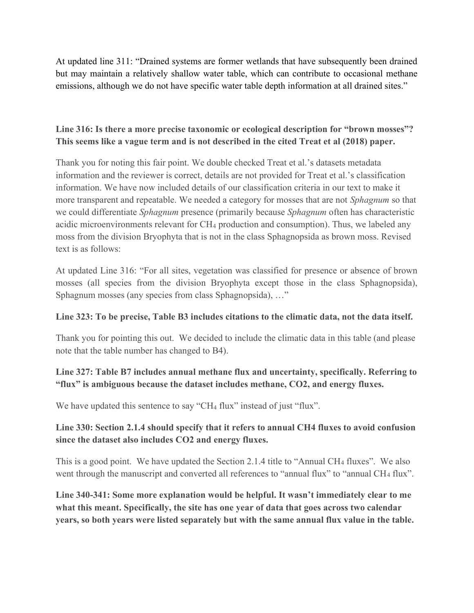At updated line 311: "Drained systems are former wetlands that have subsequently been drained but may maintain a relatively shallow water table, which can contribute to occasional methane emissions, although we do not have specific water table depth information at all drained sites."

## Line 316: Is there a more precise taxonomic or ecological description for "brown mosses"? This seems like a vague term and is not described in the cited Treat et al (2018) paper.

Thank you for noting this fair point. We double checked Treat et al.'s datasets metadata information and the reviewer is correct, details are not provided for Treat et al.'s classification information. We have now included details of our classification criteria in our text to make it more transparent and repeatable. We needed a category for mosses that are not Sphagnum so that we could differentiate Sphagnum presence (primarily because Sphagnum often has characteristic acidic microenvironments relevant for CH4 production and consumption). Thus, we labeled any moss from the division Bryophyta that is not in the class Sphagnopsida as brown moss. Revised text is as follows:

At updated Line 316: "For all sites, vegetation was classified for presence or absence of brown mosses (all species from the division Bryophyta except those in the class Sphagnopsida), Sphagnum mosses (any species from class Sphagnopsida), …"

#### Line 323: To be precise, Table B3 includes citations to the climatic data, not the data itself.

Thank you for pointing this out. We decided to include the climatic data in this table (and please note that the table number has changed to B4).

### Line 327: Table B7 includes annual methane flux and uncertainty, specifically. Referring to "flux" is ambiguous because the dataset includes methane, CO2, and energy fluxes.

We have updated this sentence to say "CH<sub>4</sub> flux" instead of just "flux".

# Line 330: Section 2.1.4 should specify that it refers to annual CH4 fluxes to avoid confusion since the dataset also includes CO2 and energy fluxes.

This is a good point. We have updated the Section 2.1.4 title to "Annual CH<sub>4</sub> fluxes". We also went through the manuscript and converted all references to "annual flux" to "annual CH<sub>4</sub> flux".

Line 340-341: Some more explanation would be helpful. It wasn't immediately clear to me what this meant. Specifically, the site has one year of data that goes across two calendar years, so both years were listed separately but with the same annual flux value in the table.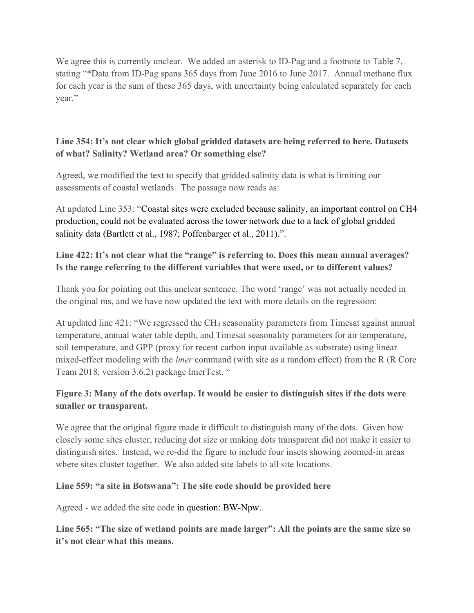We agree this is currently unclear. We added an asterisk to ID-Pag and a footnote to Table 7, stating "\*Data from ID-Pag spans 365 days from June 2016 to June 2017. Annual methane flux for each year is the sum of these 365 days, with uncertainty being calculated separately for each year."

### Line 354: It's not clear which global gridded datasets are being referred to here. Datasets of what? Salinity? Wetland area? Or something else?

Agreed, we modified the text to specify that gridded salinity data is what is limiting our assessments of coastal wetlands. The passage now reads as:

At updated Line 353: "Coastal sites were excluded because salinity, an important control on CH4 production, could not be evaluated across the tower network due to a lack of global gridded salinity data (Bartlett et al., 1987; Poffenbarger et al., 2011).".

## Line 422: It's not clear what the "range" is referring to. Does this mean annual averages? Is the range referring to the different variables that were used, or to different values?

Thank you for pointing out this unclear sentence. The word 'range' was not actually needed in the original ms, and we have now updated the text with more details on the regression:

At updated line 421: "We regressed the CH4 seasonality parameters from Timesat against annual temperature, annual water table depth, and Timesat seasonality parameters for air temperature, soil temperature, and GPP (proxy for recent carbon input available as substrate) using linear mixed-effect modeling with the *lmer* command (with site as a random effect) from the R (R Core Team 2018, version 3.6.2) package lmerTest. "

## Figure 3: Many of the dots overlap. It would be easier to distinguish sites if the dots were smaller or transparent.

We agree that the original figure made it difficult to distinguish many of the dots. Given how closely some sites cluster, reducing dot size or making dots transparent did not make it easier to distinguish sites. Instead, we re-did the figure to include four insets showing zoomed-in areas where sites cluster together. We also added site labels to all site locations.

### Line 559: "a site in Botswana": The site code should be provided here

Agreed - we added the site code in question: BW-Npw.

Line 565: "The size of wetland points are made larger": All the points are the same size so it's not clear what this means.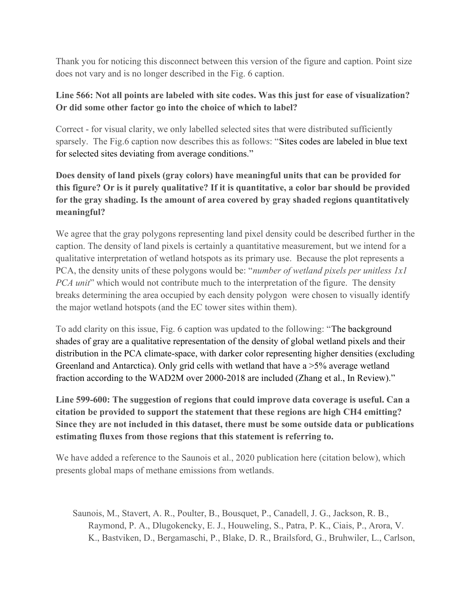Thank you for noticing this disconnect between this version of the figure and caption. Point size does not vary and is no longer described in the Fig. 6 caption.

### Line 566: Not all points are labeled with site codes. Was this just for ease of visualization? Or did some other factor go into the choice of which to label?

Correct - for visual clarity, we only labelled selected sites that were distributed sufficiently sparsely. The Fig.6 caption now describes this as follows: "Sites codes are labeled in blue text for selected sites deviating from average conditions."

# Does density of land pixels (gray colors) have meaningful units that can be provided for this figure? Or is it purely qualitative? If it is quantitative, a color bar should be provided for the gray shading. Is the amount of area covered by gray shaded regions quantitatively meaningful?

We agree that the gray polygons representing land pixel density could be described further in the caption. The density of land pixels is certainly a quantitative measurement, but we intend for a qualitative interpretation of wetland hotspots as its primary use. Because the plot represents a PCA, the density units of these polygons would be: "number of wetland pixels per unitless 1x1 PCA unit" which would not contribute much to the interpretation of the figure. The density breaks determining the area occupied by each density polygon were chosen to visually identify the major wetland hotspots (and the EC tower sites within them).

To add clarity on this issue, Fig. 6 caption was updated to the following: "The background shades of gray are a qualitative representation of the density of global wetland pixels and their distribution in the PCA climate-space, with darker color representing higher densities (excluding Greenland and Antarctica). Only grid cells with wetland that have a >5% average wetland fraction according to the WAD2M over 2000-2018 are included (Zhang et al., In Review)."

Line 599-600: The suggestion of regions that could improve data coverage is useful. Can a citation be provided to support the statement that these regions are high CH4 emitting? Since they are not included in this dataset, there must be some outside data or publications estimating fluxes from those regions that this statement is referring to.

We have added a reference to the Saunois et al., 2020 publication here (citation below), which presents global maps of methane emissions from wetlands.

Saunois, M., Stavert, A. R., Poulter, B., Bousquet, P., Canadell, J. G., Jackson, R. B., Raymond, P. A., Dlugokencky, E. J., Houweling, S., Patra, P. K., Ciais, P., Arora, V. K., Bastviken, D., Bergamaschi, P., Blake, D. R., Brailsford, G., Bruhwiler, L., Carlson,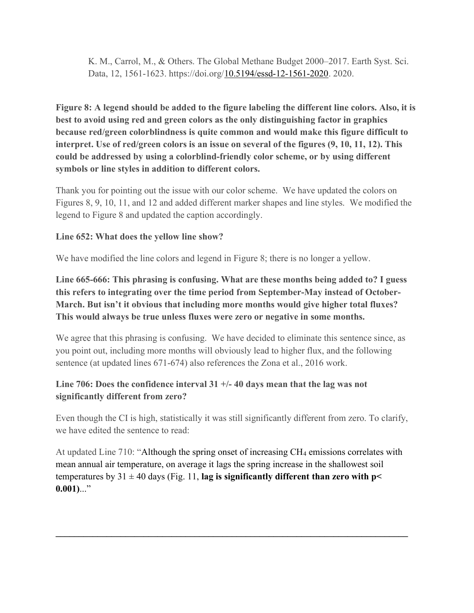K. M., Carrol, M., & Others. The Global Methane Budget 2000–2017. Earth Syst. Sci. Data, 12, 1561-1623. https://doi.org/10.5194/essd-12-1561-2020. 2020.

Figure 8: A legend should be added to the figure labeling the different line colors. Also, it is best to avoid using red and green colors as the only distinguishing factor in graphics because red/green colorblindness is quite common and would make this figure difficult to interpret. Use of red/green colors is an issue on several of the figures (9, 10, 11, 12). This could be addressed by using a colorblind-friendly color scheme, or by using different symbols or line styles in addition to different colors.

Thank you for pointing out the issue with our color scheme. We have updated the colors on Figures 8, 9, 10, 11, and 12 and added different marker shapes and line styles. We modified the legend to Figure 8 and updated the caption accordingly.

#### Line 652: What does the yellow line show?

We have modified the line colors and legend in Figure 8; there is no longer a yellow.

Line 665-666: This phrasing is confusing. What are these months being added to? I guess this refers to integrating over the time period from September-May instead of October-March. But isn't it obvious that including more months would give higher total fluxes? This would always be true unless fluxes were zero or negative in some months.

We agree that this phrasing is confusing. We have decided to eliminate this sentence since, as you point out, including more months will obviously lead to higher flux, and the following sentence (at updated lines 671-674) also references the Zona et al., 2016 work.

## Line 706: Does the confidence interval 31 +/- 40 days mean that the lag was not significantly different from zero?

Even though the CI is high, statistically it was still significantly different from zero. To clarify, we have edited the sentence to read:

At updated Line 710: "Although the spring onset of increasing CH4 emissions correlates with mean annual air temperature, on average it lags the spring increase in the shallowest soil temperatures by  $31 \pm 40$  days (Fig. 11, lag is significantly different than zero with p<  $0.001$ ..."

 $\mathcal{L}_\text{max}$  and  $\mathcal{L}_\text{max}$  and  $\mathcal{L}_\text{max}$  and  $\mathcal{L}_\text{max}$  and  $\mathcal{L}_\text{max}$  and  $\mathcal{L}_\text{max}$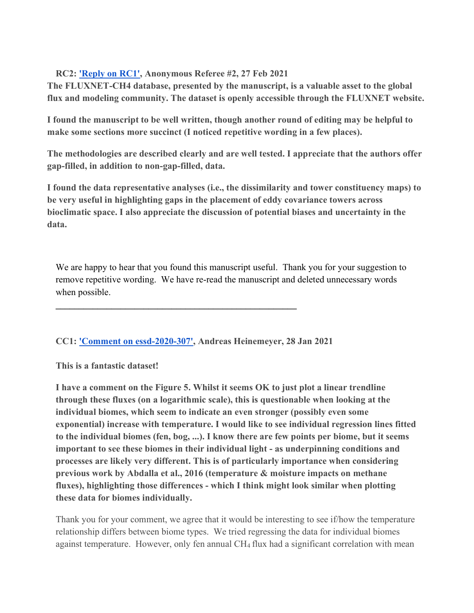#### RC2: 'Reply on RC1', Anonymous Referee #2, 27 Feb 2021

The FLUXNET-CH4 database, presented by the manuscript, is a valuable asset to the global flux and modeling community. The dataset is openly accessible through the FLUXNET website.

I found the manuscript to be well written, though another round of editing may be helpful to make some sections more succinct (I noticed repetitive wording in a few places).

The methodologies are described clearly and are well tested. I appreciate that the authors offer gap-filled, in addition to non-gap-filled, data.

I found the data representative analyses (i.e., the dissimilarity and tower constituency maps) to be very useful in highlighting gaps in the placement of eddy covariance towers across bioclimatic space. I also appreciate the discussion of potential biases and uncertainty in the data.

We are happy to hear that you found this manuscript useful. Thank you for your suggestion to remove repetitive wording. We have re-read the manuscript and deleted unnecessary words when possible.

#### CC1: 'Comment on essd-2020-307', Andreas Heinemeyer, 28 Jan 2021

 $\mathcal{L}_\text{max}$  , and the contract of the contract of the contract of the contract of the contract of the contract of the contract of the contract of the contract of the contract of the contract of the contract of the contr

#### This is a fantastic dataset!

I have a comment on the Figure 5. Whilst it seems OK to just plot a linear trendline through these fluxes (on a logarithmic scale), this is questionable when looking at the individual biomes, which seem to indicate an even stronger (possibly even some exponential) increase with temperature. I would like to see individual regression lines fitted to the individual biomes (fen, bog, ...). I know there are few points per biome, but it seems important to see these biomes in their individual light - as underpinning conditions and processes are likely very different. This is of particularly importance when considering previous work by Abdalla et al., 2016 (temperature & moisture impacts on methane fluxes), highlighting those differences - which I think might look similar when plotting these data for biomes individually.

Thank you for your comment, we agree that it would be interesting to see if/how the temperature relationship differs between biome types. We tried regressing the data for individual biomes against temperature. However, only fen annual CH4 flux had a significant correlation with mean